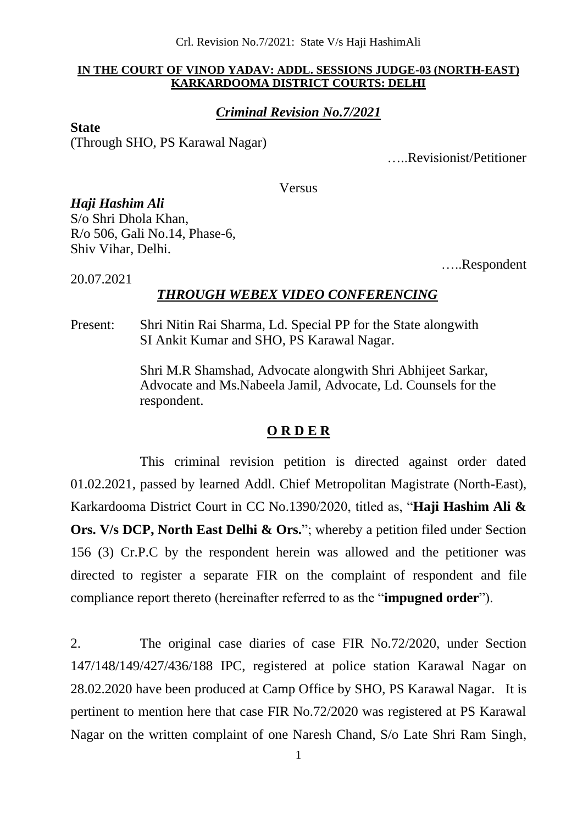#### **IN THE COURT OF VINOD YADAV: ADDL. SESSIONS JUDGE-03 (NORTH-EAST) KARKARDOOMA DISTRICT COURTS: DELHI**

## *Criminal Revision No.7/2021*

#### **State**

20.07.2021

(Through SHO, PS Karawal Nagar)

…..Revisionist/Petitioner

Versus

*Haji Hashim Ali*  S/o Shri Dhola Khan, R/o 506, Gali No.14, Phase-6, Shiv Vihar, Delhi.

…..Respondent

## *THROUGH WEBEX VIDEO CONFERENCING*

Present: Shri Nitin Rai Sharma, Ld. Special PP for the State alongwith SI Ankit Kumar and SHO, PS Karawal Nagar.

> Shri M.R Shamshad, Advocate alongwith Shri Abhijeet Sarkar, Advocate and Ms.Nabeela Jamil, Advocate, Ld. Counsels for the respondent.

### **O R D E R**

This criminal revision petition is directed against order dated 01.02.2021, passed by learned Addl. Chief Metropolitan Magistrate (North-East), Karkardooma District Court in CC No.1390/2020, titled as, "**Haji Hashim Ali & Ors. V/s DCP, North East Delhi & Ors.**"; whereby a petition filed under Section 156 (3) Cr.P.C by the respondent herein was allowed and the petitioner was directed to register a separate FIR on the complaint of respondent and file compliance report thereto (hereinafter referred to as the "**impugned order**").

2. The original case diaries of case FIR No.72/2020, under Section 147/148/149/427/436/188 IPC, registered at police station Karawal Nagar on 28.02.2020 have been produced at Camp Office by SHO, PS Karawal Nagar. It is pertinent to mention here that case FIR No.72/2020 was registered at PS Karawal Nagar on the written complaint of one Naresh Chand, S/o Late Shri Ram Singh,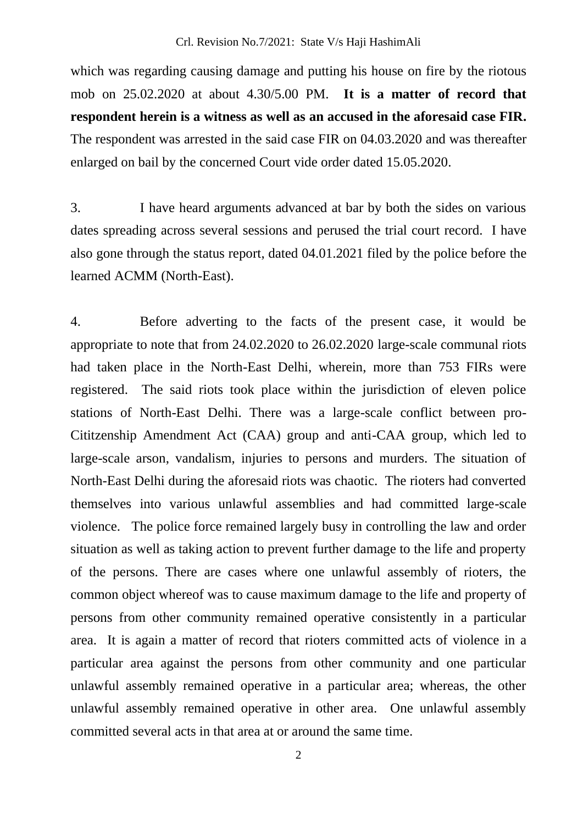which was regarding causing damage and putting his house on fire by the riotous mob on 25.02.2020 at about 4.30/5.00 PM. **It is a matter of record that respondent herein is a witness as well as an accused in the aforesaid case FIR.**  The respondent was arrested in the said case FIR on 04.03.2020 and was thereafter enlarged on bail by the concerned Court vide order dated 15.05.2020.

3. I have heard arguments advanced at bar by both the sides on various dates spreading across several sessions and perused the trial court record. I have also gone through the status report, dated 04.01.2021 filed by the police before the learned ACMM (North-East).

4. Before adverting to the facts of the present case, it would be appropriate to note that from 24.02.2020 to 26.02.2020 large-scale communal riots had taken place in the North-East Delhi, wherein, more than 753 FIRs were registered. The said riots took place within the jurisdiction of eleven police stations of North-East Delhi. There was a large-scale conflict between pro-Cititzenship Amendment Act (CAA) group and anti-CAA group, which led to large-scale arson, vandalism, injuries to persons and murders. The situation of North-East Delhi during the aforesaid riots was chaotic. The rioters had converted themselves into various unlawful assemblies and had committed large-scale violence. The police force remained largely busy in controlling the law and order situation as well as taking action to prevent further damage to the life and property of the persons. There are cases where one unlawful assembly of rioters, the common object whereof was to cause maximum damage to the life and property of persons from other community remained operative consistently in a particular area. It is again a matter of record that rioters committed acts of violence in a particular area against the persons from other community and one particular unlawful assembly remained operative in a particular area; whereas, the other unlawful assembly remained operative in other area. One unlawful assembly committed several acts in that area at or around the same time.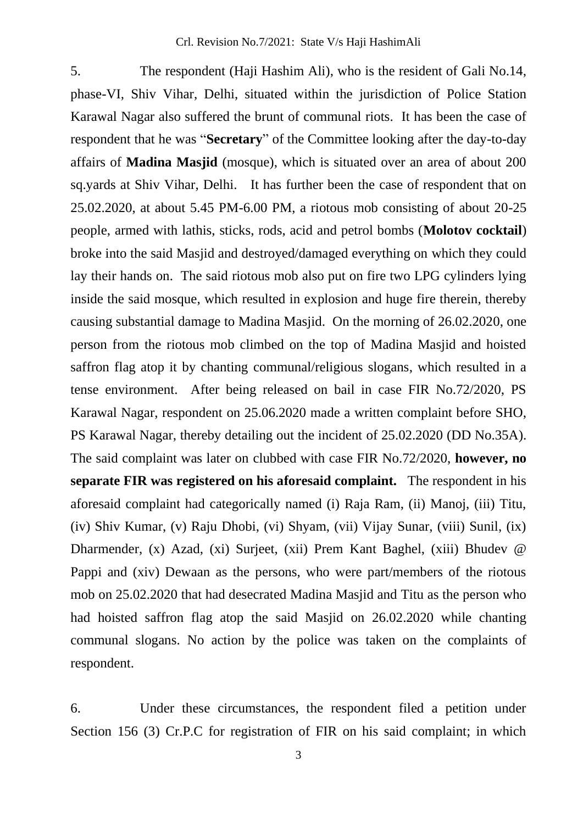5. The respondent (Haji Hashim Ali), who is the resident of Gali No.14, phase-VI, Shiv Vihar, Delhi, situated within the jurisdiction of Police Station Karawal Nagar also suffered the brunt of communal riots. It has been the case of respondent that he was "**Secretary**" of the Committee looking after the day-to-day affairs of **Madina Masjid** (mosque), which is situated over an area of about 200 sq.yards at Shiv Vihar, Delhi. It has further been the case of respondent that on 25.02.2020, at about 5.45 PM-6.00 PM, a riotous mob consisting of about 20-25 people, armed with lathis, sticks, rods, acid and petrol bombs (**Molotov cocktail**) broke into the said Masjid and destroyed/damaged everything on which they could lay their hands on. The said riotous mob also put on fire two LPG cylinders lying inside the said mosque, which resulted in explosion and huge fire therein, thereby causing substantial damage to Madina Masjid. On the morning of 26.02.2020, one person from the riotous mob climbed on the top of Madina Masjid and hoisted saffron flag atop it by chanting communal/religious slogans, which resulted in a tense environment. After being released on bail in case FIR No.72/2020, PS Karawal Nagar, respondent on 25.06.2020 made a written complaint before SHO, PS Karawal Nagar, thereby detailing out the incident of 25.02.2020 (DD No.35A). The said complaint was later on clubbed with case FIR No.72/2020, **however, no separate FIR was registered on his aforesaid complaint.** The respondent in his aforesaid complaint had categorically named (i) Raja Ram, (ii) Manoj, (iii) Titu, (iv) Shiv Kumar, (v) Raju Dhobi, (vi) Shyam, (vii) Vijay Sunar, (viii) Sunil, (ix) Dharmender, (x) Azad, (xi) Surjeet, (xii) Prem Kant Baghel, (xiii) Bhudev @ Pappi and (xiv) Dewaan as the persons, who were part/members of the riotous mob on 25.02.2020 that had desecrated Madina Masjid and Titu as the person who had hoisted saffron flag atop the said Masjid on 26.02.2020 while chanting communal slogans. No action by the police was taken on the complaints of respondent.

6. Under these circumstances, the respondent filed a petition under Section 156 (3) Cr.P.C for registration of FIR on his said complaint; in which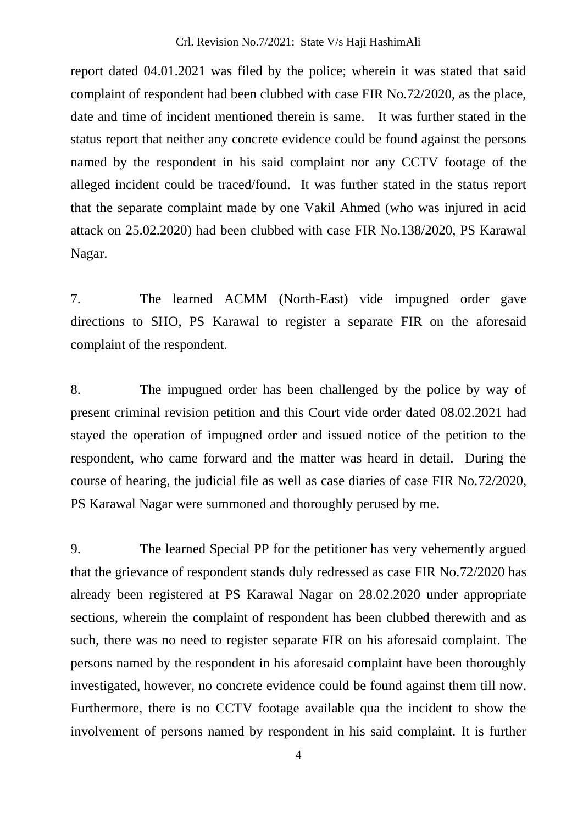report dated 04.01.2021 was filed by the police; wherein it was stated that said complaint of respondent had been clubbed with case FIR No.72/2020, as the place, date and time of incident mentioned therein is same. It was further stated in the status report that neither any concrete evidence could be found against the persons named by the respondent in his said complaint nor any CCTV footage of the alleged incident could be traced/found. It was further stated in the status report that the separate complaint made by one Vakil Ahmed (who was injured in acid attack on 25.02.2020) had been clubbed with case FIR No.138/2020, PS Karawal Nagar.

7. The learned ACMM (North-East) vide impugned order gave directions to SHO, PS Karawal to register a separate FIR on the aforesaid complaint of the respondent.

8. The impugned order has been challenged by the police by way of present criminal revision petition and this Court vide order dated 08.02.2021 had stayed the operation of impugned order and issued notice of the petition to the respondent, who came forward and the matter was heard in detail. During the course of hearing, the judicial file as well as case diaries of case FIR No.72/2020, PS Karawal Nagar were summoned and thoroughly perused by me.

9. The learned Special PP for the petitioner has very vehemently argued that the grievance of respondent stands duly redressed as case FIR No.72/2020 has already been registered at PS Karawal Nagar on 28.02.2020 under appropriate sections, wherein the complaint of respondent has been clubbed therewith and as such, there was no need to register separate FIR on his aforesaid complaint. The persons named by the respondent in his aforesaid complaint have been thoroughly investigated, however, no concrete evidence could be found against them till now. Furthermore, there is no CCTV footage available qua the incident to show the involvement of persons named by respondent in his said complaint. It is further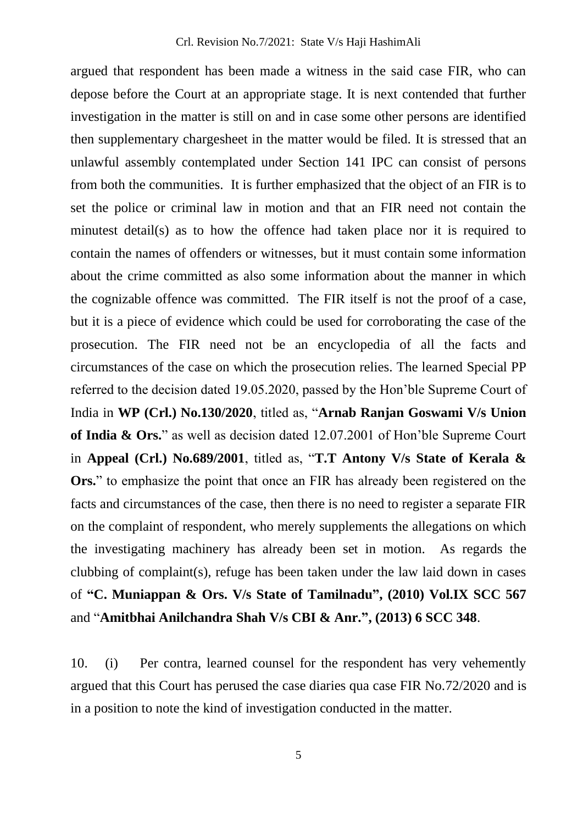argued that respondent has been made a witness in the said case FIR, who can depose before the Court at an appropriate stage. It is next contended that further investigation in the matter is still on and in case some other persons are identified then supplementary chargesheet in the matter would be filed. It is stressed that an unlawful assembly contemplated under Section 141 IPC can consist of persons from both the communities. It is further emphasized that the object of an FIR is to set the police or criminal law in motion and that an FIR need not contain the minutest detail(s) as to how the offence had taken place nor it is required to contain the names of offenders or witnesses, but it must contain some information about the crime committed as also some information about the manner in which the cognizable offence was committed. The FIR itself is not the proof of a case, but it is a piece of evidence which could be used for corroborating the case of the prosecution. The FIR need not be an encyclopedia of all the facts and circumstances of the case on which the prosecution relies. The learned Special PP referred to the decision dated 19.05.2020, passed by the Hon'ble Supreme Court of India in **WP (Crl.) No.130/2020**, titled as, "**Arnab Ranjan Goswami V/s Union of India & Ors.**" as well as decision dated 12.07.2001 of Hon'ble Supreme Court in **Appeal (Crl.) No.689/2001**, titled as, "**T.T Antony V/s State of Kerala & Ors.**" to emphasize the point that once an FIR has already been registered on the facts and circumstances of the case, then there is no need to register a separate FIR on the complaint of respondent, who merely supplements the allegations on which the investigating machinery has already been set in motion. As regards the clubbing of complaint(s), refuge has been taken under the law laid down in cases of **"C. Muniappan & Ors. V/s State of Tamilnadu", (2010) Vol.IX SCC 567** and "**Amitbhai Anilchandra Shah V/s CBI & Anr.", (2013) 6 SCC 348**.

10. (i) Per contra, learned counsel for the respondent has very vehemently argued that this Court has perused the case diaries qua case FIR No.72/2020 and is in a position to note the kind of investigation conducted in the matter.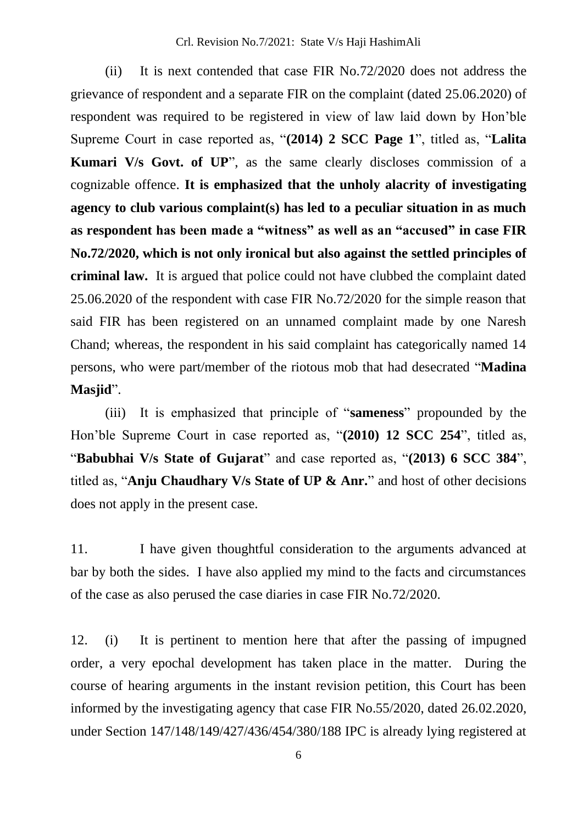(ii) It is next contended that case FIR No.72/2020 does not address the grievance of respondent and a separate FIR on the complaint (dated 25.06.2020) of respondent was required to be registered in view of law laid down by Hon'ble Supreme Court in case reported as, "**(2014) 2 SCC Page 1**", titled as, "**Lalita Kumari V/s Govt. of UP**", as the same clearly discloses commission of a cognizable offence. **It is emphasized that the unholy alacrity of investigating agency to club various complaint(s) has led to a peculiar situation in as much as respondent has been made a "witness" as well as an "accused" in case FIR No.72/2020, which is not only ironical but also against the settled principles of criminal law.** It is argued that police could not have clubbed the complaint dated 25.06.2020 of the respondent with case FIR No.72/2020 for the simple reason that said FIR has been registered on an unnamed complaint made by one Naresh Chand; whereas, the respondent in his said complaint has categorically named 14 persons, who were part/member of the riotous mob that had desecrated "**Madina Masjid**".

(iii) It is emphasized that principle of "**sameness**" propounded by the Hon'ble Supreme Court in case reported as, "**(2010) 12 SCC 254**", titled as, "**Babubhai V/s State of Gujarat**" and case reported as, "**(2013) 6 SCC 384**", titled as, "**Anju Chaudhary V/s State of UP & Anr.**" and host of other decisions does not apply in the present case.

11. I have given thoughtful consideration to the arguments advanced at bar by both the sides. I have also applied my mind to the facts and circumstances of the case as also perused the case diaries in case FIR No.72/2020.

12. (i) It is pertinent to mention here that after the passing of impugned order, a very epochal development has taken place in the matter. During the course of hearing arguments in the instant revision petition, this Court has been informed by the investigating agency that case FIR No.55/2020, dated 26.02.2020, under Section 147/148/149/427/436/454/380/188 IPC is already lying registered at

6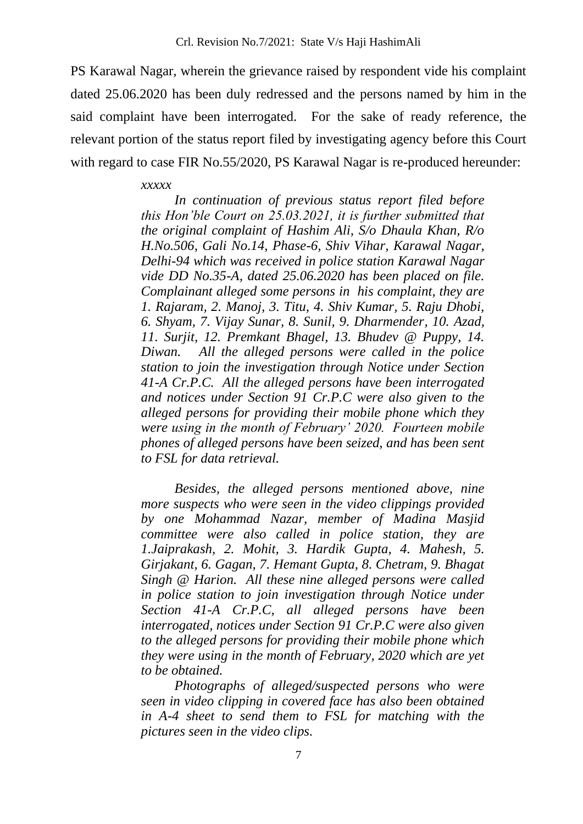PS Karawal Nagar, wherein the grievance raised by respondent vide his complaint dated 25.06.2020 has been duly redressed and the persons named by him in the said complaint have been interrogated. For the sake of ready reference, the relevant portion of the status report filed by investigating agency before this Court with regard to case FIR No.55/2020, PS Karawal Nagar is re-produced hereunder:

#### *xxxxx*

*In continuation of previous status report filed before this Hon'ble Court on 25.03.2021, it is further submitted that the original complaint of Hashim Ali, S/o Dhaula Khan, R/o H.No.506, Gali No.14, Phase-6, Shiv Vihar, Karawal Nagar, Delhi-94 which was received in police station Karawal Nagar vide DD No.35-A, dated 25.06.2020 has been placed on file. Complainant alleged some persons in his complaint, they are 1. Rajaram, 2. Manoj, 3. Titu, 4. Shiv Kumar, 5. Raju Dhobi, 6. Shyam, 7. Vijay Sunar, 8. Sunil, 9. Dharmender, 10. Azad, 11. Surjit, 12. Premkant Bhagel, 13. Bhudev @ Puppy, 14. Diwan. All the alleged persons were called in the police station to join the investigation through Notice under Section 41-A Cr.P.C. All the alleged persons have been interrogated and notices under Section 91 Cr.P.C were also given to the alleged persons for providing their mobile phone which they were using in the month of February' 2020. Fourteen mobile phones of alleged persons have been seized, and has been sent to FSL for data retrieval.* 

*Besides, the alleged persons mentioned above, nine more suspects who were seen in the video clippings provided by one Mohammad Nazar, member of Madina Masjid committee were also called in police station, they are 1.Jaiprakash, 2. Mohit, 3. Hardik Gupta, 4. Mahesh, 5. Girjakant, 6. Gagan, 7. Hemant Gupta, 8. Chetram, 9. Bhagat Singh @ Harion. All these nine alleged persons were called in police station to join investigation through Notice under Section 41-A Cr.P.C, all alleged persons have been interrogated, notices under Section 91 Cr.P.C were also given to the alleged persons for providing their mobile phone which they were using in the month of February, 2020 which are yet to be obtained.* 

*Photographs of alleged/suspected persons who were seen in video clipping in covered face has also been obtained in A-4 sheet to send them to FSL for matching with the pictures seen in the video clips.*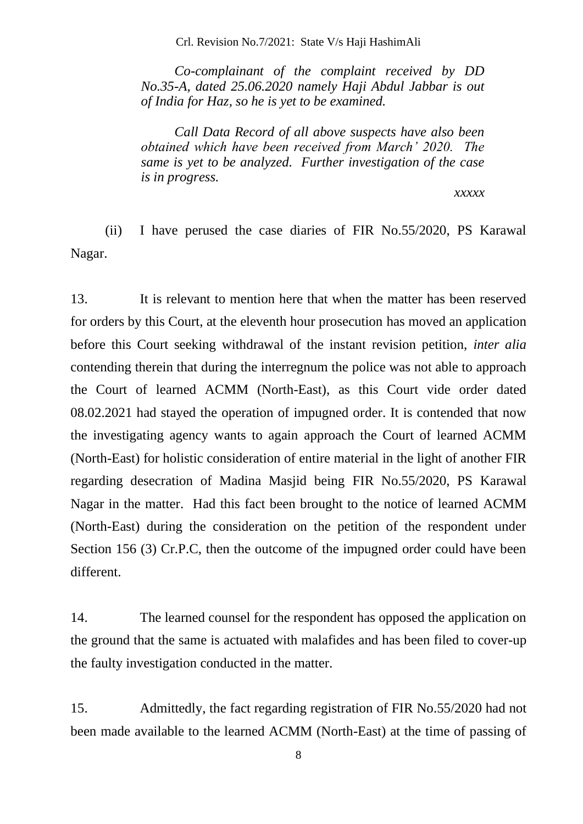Crl. Revision No.7/2021: State V/s Haji HashimAli

*Co-complainant of the complaint received by DD No.35-A, dated 25.06.2020 namely Haji Abdul Jabbar is out of India for Haz, so he is yet to be examined.* 

*Call Data Record of all above suspects have also been obtained which have been received from March' 2020. The same is yet to be analyzed. Further investigation of the case is in progress.* 

#### *xxxxx*

(ii) I have perused the case diaries of FIR No.55/2020, PS Karawal Nagar.

13. It is relevant to mention here that when the matter has been reserved for orders by this Court, at the eleventh hour prosecution has moved an application before this Court seeking withdrawal of the instant revision petition, *inter alia* contending therein that during the interregnum the police was not able to approach the Court of learned ACMM (North-East), as this Court vide order dated 08.02.2021 had stayed the operation of impugned order. It is contended that now the investigating agency wants to again approach the Court of learned ACMM (North-East) for holistic consideration of entire material in the light of another FIR regarding desecration of Madina Masjid being FIR No.55/2020, PS Karawal Nagar in the matter. Had this fact been brought to the notice of learned ACMM (North-East) during the consideration on the petition of the respondent under Section 156 (3) Cr.P.C, then the outcome of the impugned order could have been different.

14. The learned counsel for the respondent has opposed the application on the ground that the same is actuated with malafides and has been filed to cover-up the faulty investigation conducted in the matter.

15. Admittedly, the fact regarding registration of FIR No.55/2020 had not been made available to the learned ACMM (North-East) at the time of passing of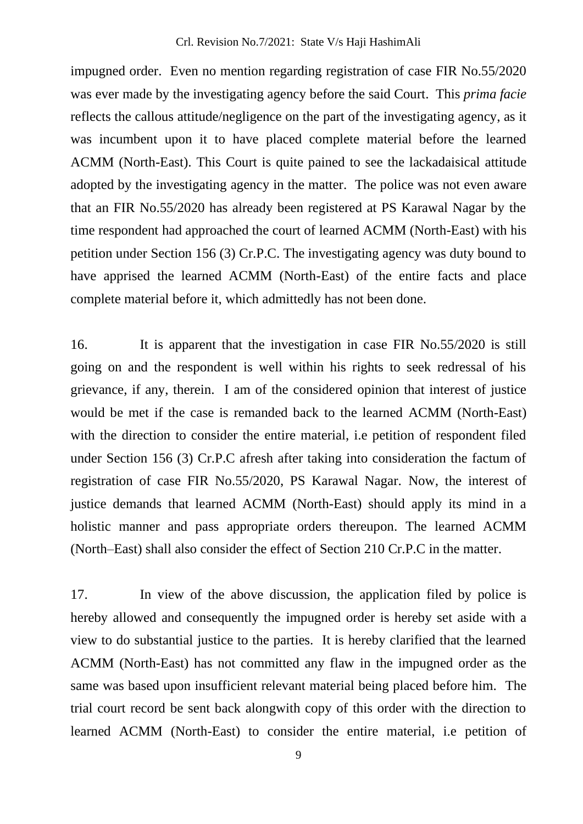impugned order. Even no mention regarding registration of case FIR No.55/2020 was ever made by the investigating agency before the said Court. This *prima facie* reflects the callous attitude/negligence on the part of the investigating agency, as it was incumbent upon it to have placed complete material before the learned ACMM (North-East). This Court is quite pained to see the lackadaisical attitude adopted by the investigating agency in the matter. The police was not even aware that an FIR No.55/2020 has already been registered at PS Karawal Nagar by the time respondent had approached the court of learned ACMM (North-East) with his petition under Section 156 (3) Cr.P.C. The investigating agency was duty bound to have apprised the learned ACMM (North-East) of the entire facts and place complete material before it, which admittedly has not been done.

16. It is apparent that the investigation in case FIR No.55/2020 is still going on and the respondent is well within his rights to seek redressal of his grievance, if any, therein. I am of the considered opinion that interest of justice would be met if the case is remanded back to the learned ACMM (North-East) with the direction to consider the entire material, i.e petition of respondent filed under Section 156 (3) Cr.P.C afresh after taking into consideration the factum of registration of case FIR No.55/2020, PS Karawal Nagar. Now, the interest of justice demands that learned ACMM (North-East) should apply its mind in a holistic manner and pass appropriate orders thereupon. The learned ACMM (North–East) shall also consider the effect of Section 210 Cr.P.C in the matter.

17. In view of the above discussion, the application filed by police is hereby allowed and consequently the impugned order is hereby set aside with a view to do substantial justice to the parties. It is hereby clarified that the learned ACMM (North-East) has not committed any flaw in the impugned order as the same was based upon insufficient relevant material being placed before him. The trial court record be sent back alongwith copy of this order with the direction to learned ACMM (North-East) to consider the entire material, i.e petition of